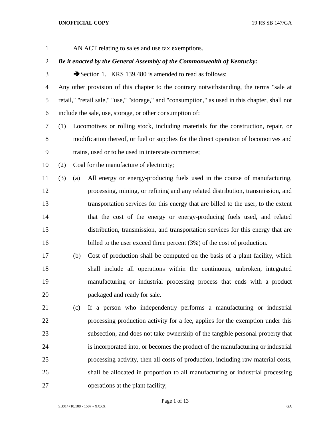AN ACT relating to sales and use tax exemptions.

## *Be it enacted by the General Assembly of the Commonwealth of Kentucky:*

3 Section 1. KRS 139.480 is amended to read as follows:

 Any other provision of this chapter to the contrary notwithstanding, the terms "sale at retail," "retail sale," "use," "storage," and "consumption," as used in this chapter, shall not include the sale, use, storage, or other consumption of:

 (1) Locomotives or rolling stock, including materials for the construction, repair, or modification thereof, or fuel or supplies for the direct operation of locomotives and trains, used or to be used in interstate commerce;

(2) Coal for the manufacture of electricity;

 (3) (a) All energy or energy-producing fuels used in the course of manufacturing, processing, mining, or refining and any related distribution, transmission, and transportation services for this energy that are billed to the user, to the extent that the cost of the energy or energy-producing fuels used, and related distribution, transmission, and transportation services for this energy that are 16 billed to the user exceed three percent (3%) of the cost of production.

 (b) Cost of production shall be computed on the basis of a plant facility, which shall include all operations within the continuous, unbroken, integrated manufacturing or industrial processing process that ends with a product packaged and ready for sale.

 (c) If a person who independently performs a manufacturing or industrial processing production activity for a fee, applies for the exemption under this subsection, and does not take ownership of the tangible personal property that is incorporated into, or becomes the product of the manufacturing or industrial processing activity, then all costs of production, including raw material costs, shall be allocated in proportion to all manufacturing or industrial processing operations at the plant facility;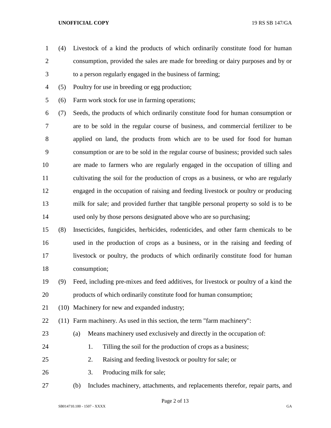- (4) Livestock of a kind the products of which ordinarily constitute food for human consumption, provided the sales are made for breeding or dairy purposes and by or to a person regularly engaged in the business of farming;
- (5) Poultry for use in breeding or egg production;
- (6) Farm work stock for use in farming operations;

 (7) Seeds, the products of which ordinarily constitute food for human consumption or are to be sold in the regular course of business, and commercial fertilizer to be applied on land, the products from which are to be used for food for human consumption or are to be sold in the regular course of business; provided such sales are made to farmers who are regularly engaged in the occupation of tilling and cultivating the soil for the production of crops as a business, or who are regularly engaged in the occupation of raising and feeding livestock or poultry or producing milk for sale; and provided further that tangible personal property so sold is to be used only by those persons designated above who are so purchasing;

 (8) Insecticides, fungicides, herbicides, rodenticides, and other farm chemicals to be used in the production of crops as a business, or in the raising and feeding of livestock or poultry, the products of which ordinarily constitute food for human consumption;

- (9) Feed, including pre-mixes and feed additives, for livestock or poultry of a kind the products of which ordinarily constitute food for human consumption;
- (10) Machinery for new and expanded industry;

(11) Farm machinery. As used in this section, the term "farm machinery":

- (a) Means machinery used exclusively and directly in the occupation of:
- 
- 24 1. Tilling the soil for the production of crops as a business;
- 2. Raising and feeding livestock or poultry for sale; or
- 3. Producing milk for sale;
- (b) Includes machinery, attachments, and replacements therefor, repair parts, and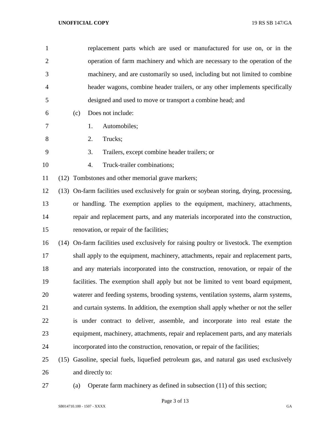| $\mathbf{1}$   | replacement parts which are used or manufactured for use on, or in the                     |
|----------------|--------------------------------------------------------------------------------------------|
| $\overline{2}$ | operation of farm machinery and which are necessary to the operation of the                |
| 3              | machinery, and are customarily so used, including but not limited to combine               |
| 4              | header wagons, combine header trailers, or any other implements specifically               |
| 5              | designed and used to move or transport a combine head; and                                 |
| 6              | Does not include:<br>(c)                                                                   |
| 7              | Automobiles;<br>1.                                                                         |
| 8              | Trucks;<br>2.                                                                              |
| 9              | Trailers, except combine header trailers; or<br>3.                                         |
| 10             | Truck-trailer combinations;<br>4.                                                          |
| 11             | (12) Tombstones and other memorial grave markers;                                          |
| 12             | (13) On-farm facilities used exclusively for grain or soybean storing, drying, processing, |
| 13             | or handling. The exemption applies to the equipment, machinery, attachments,               |
| 14             | repair and replacement parts, and any materials incorporated into the construction,        |
| 15             | renovation, or repair of the facilities;                                                   |
| 16             | (14) On-farm facilities used exclusively for raising poultry or livestock. The exemption   |
| 17             | shall apply to the equipment, machinery, attachments, repair and replacement parts,        |
| 18             | and any materials incorporated into the construction, renovation, or repair of the         |
| 19             | facilities. The exemption shall apply but not be limited to vent board equipment,          |
| 20             | waterer and feeding systems, brooding systems, ventilation systems, alarm systems,         |
| 21             | and curtain systems. In addition, the exemption shall apply whether or not the seller      |
| 22             | is under contract to deliver, assemble, and incorporate into real estate the               |
| 23             | equipment, machinery, attachments, repair and replacement parts, and any materials         |
| 24             | incorporated into the construction, renovation, or repair of the facilities;               |
| 25             | (15) Gasoline, special fuels, liquefied petroleum gas, and natural gas used exclusively    |
|                |                                                                                            |

and directly to:

(a) Operate farm machinery as defined in subsection (11) of this section;

Page 3 of 13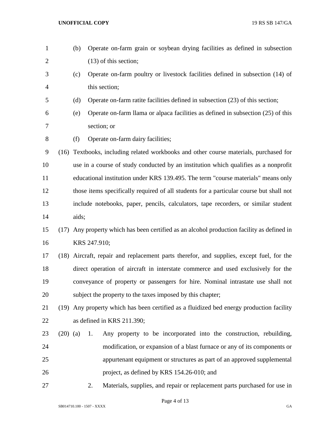- (b) Operate on-farm grain or soybean drying facilities as defined in subsection 2 (13) of this section;
- (c) Operate on-farm poultry or livestock facilities defined in subsection (14) of this section;
- (d) Operate on-farm ratite facilities defined in subsection (23) of this section;
- (e) Operate on-farm llama or alpaca facilities as defined in subsection (25) of this section; or
- (f) Operate on-farm dairy facilities;

 (16) Textbooks, including related workbooks and other course materials, purchased for use in a course of study conducted by an institution which qualifies as a nonprofit educational institution under KRS 139.495. The term "course materials" means only those items specifically required of all students for a particular course but shall not include notebooks, paper, pencils, calculators, tape recorders, or similar student aids;

## (17) Any property which has been certified as an alcohol production facility as defined in KRS 247.910;

 (18) Aircraft, repair and replacement parts therefor, and supplies, except fuel, for the direct operation of aircraft in interstate commerce and used exclusively for the conveyance of property or passengers for hire. Nominal intrastate use shall not subject the property to the taxes imposed by this chapter;

# (19) Any property which has been certified as a fluidized bed energy production facility as defined in KRS 211.390;

- (20) (a) 1. Any property to be incorporated into the construction, rebuilding, modification, or expansion of a blast furnace or any of its components or appurtenant equipment or structures as part of an approved supplemental project, as defined by KRS 154.26-010; and
- 

2. Materials, supplies, and repair or replacement parts purchased for use in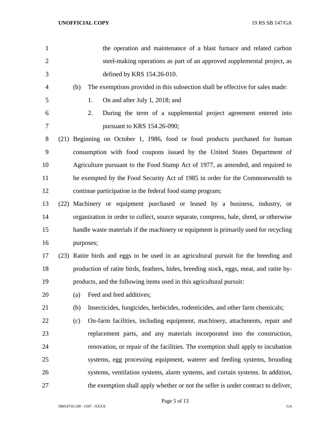| $\mathbf{1}$   |      |     | the operation and maintenance of a blast furnace and related carbon                     |
|----------------|------|-----|-----------------------------------------------------------------------------------------|
| $\overline{2}$ |      |     | steel-making operations as part of an approved supplemental project, as                 |
| 3              |      |     | defined by KRS 154.26-010.                                                              |
| 4              |      | (b) | The exemptions provided in this subsection shall be effective for sales made:           |
| 5              |      |     | On and after July 1, 2018; and<br>1.                                                    |
| 6              |      |     | 2.<br>During the term of a supplemental project agreement entered into                  |
| 7              |      |     | pursuant to KRS 154.26-090;                                                             |
| 8              |      |     | (21) Beginning on October 1, 1986, food or food products purchased for human            |
| 9              |      |     | consumption with food coupons issued by the United States Department of                 |
| 10             |      |     | Agriculture pursuant to the Food Stamp Act of 1977, as amended, and required to         |
| 11             |      |     | be exempted by the Food Security Act of 1985 in order for the Commonwealth to           |
| 12             |      |     | continue participation in the federal food stamp program;                               |
| 13             | (22) |     | Machinery or equipment purchased or leased by a business, industry, or                  |
| 14             |      |     | organization in order to collect, source separate, compress, bale, shred, or otherwise  |
| 15             |      |     | handle waste materials if the machinery or equipment is primarily used for recycling    |
| 16             |      |     | purposes;                                                                               |
| 17             |      |     | (23) Ratite birds and eggs to be used in an agricultural pursuit for the breeding and   |
| 18             |      |     | production of ratite birds, feathers, hides, breeding stock, eggs, meat, and ratite by- |
| 19             |      |     | products, and the following items used in this agricultural pursuit:                    |
| 20             |      | (a) | Feed and feed additives;                                                                |
| 21             |      | (b) | Insecticides, fungicides, herbicides, rodenticides, and other farm chemicals;           |
| 22             |      | (c) | On-farm facilities, including equipment, machinery, attachments, repair and             |
| 23             |      |     | replacement parts, and any materials incorporated into the construction,                |
| 24             |      |     | renovation, or repair of the facilities. The exemption shall apply to incubation        |
| 25             |      |     | systems, egg processing equipment, waterer and feeding systems, brooding                |
| 26             |      |     | systems, ventilation systems, alarm systems, and curtain systems. In addition,          |
| 27             |      |     | the exemption shall apply whether or not the seller is under contract to deliver,       |

Page 5 of 13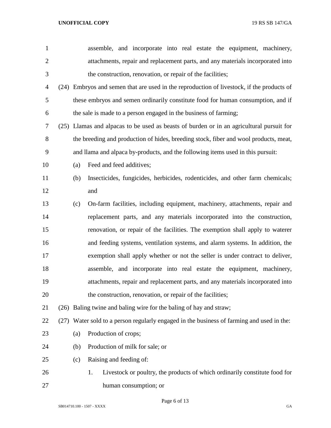| $\mathbf{1}$   |     | assemble, and incorporate into real estate the equipment, machinery,                      |
|----------------|-----|-------------------------------------------------------------------------------------------|
| $\overline{2}$ |     | attachments, repair and replacement parts, and any materials incorporated into            |
| 3              |     | the construction, renovation, or repair of the facilities;                                |
| 4              |     | (24) Embryos and semen that are used in the reproduction of livestock, if the products of |
| 5              |     | these embryos and semen ordinarily constitute food for human consumption, and if          |
| 6              |     | the sale is made to a person engaged in the business of farming;                          |
| 7              |     | (25) Llamas and alpacas to be used as beasts of burden or in an agricultural pursuit for  |
| 8              |     | the breeding and production of hides, breeding stock, fiber and wool products, meat,      |
| 9              |     | and llama and alpaca by-products, and the following items used in this pursuit:           |
| 10             | (a) | Feed and feed additives;                                                                  |
| 11             | (b) | Insecticides, fungicides, herbicides, rodenticides, and other farm chemicals;             |
| 12             |     | and                                                                                       |
| 13             | (c) | On-farm facilities, including equipment, machinery, attachments, repair and               |
| 14             |     | replacement parts, and any materials incorporated into the construction,                  |
| 15             |     | renovation, or repair of the facilities. The exemption shall apply to waterer             |
| 16             |     | and feeding systems, ventilation systems, and alarm systems. In addition, the             |
| 17             |     | exemption shall apply whether or not the seller is under contract to deliver,             |
| 18             |     | assemble, and incorporate into real estate the equipment, machinery,                      |
| 19             |     | attachments, repair and replacement parts, and any materials incorporated into            |
| 20             |     | the construction, renovation, or repair of the facilities;                                |
| 21             |     | (26) Baling twine and baling wire for the baling of hay and straw;                        |
| 22             |     | (27) Water sold to a person regularly engaged in the business of farming and used in the: |
| 23             | (a) | Production of crops;                                                                      |
| 24             | (b) | Production of milk for sale; or                                                           |
| 25             | (c) | Raising and feeding of:                                                                   |
| 26             |     | Livestock or poultry, the products of which ordinarily constitute food for<br>1.          |
| 27             |     | human consumption; or                                                                     |

Page 6 of 13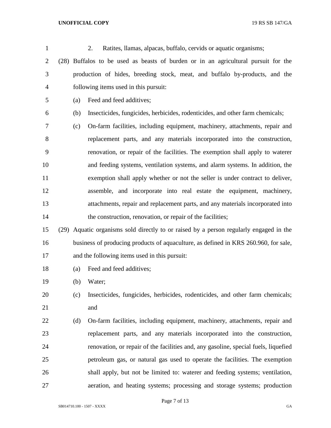| $\mathbf{1}$   |     | 2.<br>Ratites, llamas, alpacas, buffalo, cervids or aquatic organisms;                 |
|----------------|-----|----------------------------------------------------------------------------------------|
| $\overline{2}$ |     | (28) Buffalos to be used as beasts of burden or in an agricultural pursuit for the     |
| 3              |     | production of hides, breeding stock, meat, and buffalo by-products, and the            |
| $\overline{4}$ |     | following items used in this pursuit:                                                  |
| 5              | (a) | Feed and feed additives;                                                               |
| 6              | (b) | Insecticides, fungicides, herbicides, rodenticides, and other farm chemicals;          |
| 7              | (c) | On-farm facilities, including equipment, machinery, attachments, repair and            |
| 8              |     | replacement parts, and any materials incorporated into the construction,               |
| 9              |     | renovation, or repair of the facilities. The exemption shall apply to waterer          |
| 10             |     | and feeding systems, ventilation systems, and alarm systems. In addition, the          |
| 11             |     | exemption shall apply whether or not the seller is under contract to deliver,          |
| 12             |     | assemble, and incorporate into real estate the equipment, machinery,                   |
| 13             |     | attachments, repair and replacement parts, and any materials incorporated into         |
| 14             |     | the construction, renovation, or repair of the facilities;                             |
| 15             |     | (29) Aquatic organisms sold directly to or raised by a person regularly engaged in the |
| 16             |     | business of producing products of aquaculture, as defined in KRS 260.960, for sale,    |
| 17             |     | and the following items used in this pursuit:                                          |
| 18             | (a) | Feed and feed additives;                                                               |
| 19             | (b) | Water;                                                                                 |
| 20             | (c) | Insecticides, fungicides, herbicides, rodenticides, and other farm chemicals;          |
| 21             |     | and                                                                                    |
| 22             | (d) | On-farm facilities, including equipment, machinery, attachments, repair and            |
| 23             |     | replacement parts, and any materials incorporated into the construction,               |
| 24             |     | renovation, or repair of the facilities and, any gasoline, special fuels, liquefied    |
| 25             |     | petroleum gas, or natural gas used to operate the facilities. The exemption            |
| 26             |     | shall apply, but not be limited to: waterer and feeding systems; ventilation,          |
| 27             |     | aeration, and heating systems; processing and storage systems; production              |

Page 7 of 13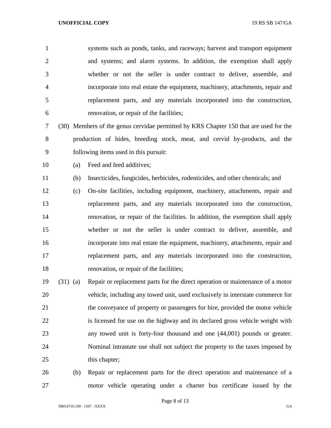systems such as ponds, tanks, and raceways; harvest and transport equipment and systems; and alarm systems. In addition, the exemption shall apply whether or not the seller is under contract to deliver, assemble, and incorporate into real estate the equipment, machinery, attachments, repair and replacement parts, and any materials incorporated into the construction, renovation, or repair of the facilities;

 (30) Members of the genus cervidae permitted by KRS Chapter 150 that are used for the production of hides, breeding stock, meat, and cervid by-products, and the following items used in this pursuit:

(a) Feed and feed additives;

(b) Insecticides, fungicides, herbicides, rodenticides, and other chemicals; and

- (c) On-site facilities, including equipment, machinery, attachments, repair and replacement parts, and any materials incorporated into the construction, renovation, or repair of the facilities. In addition, the exemption shall apply whether or not the seller is under contract to deliver, assemble, and incorporate into real estate the equipment, machinery, attachments, repair and replacement parts, and any materials incorporated into the construction, renovation, or repair of the facilities;
- (31) (a) Repair or replacement parts for the direct operation or maintenance of a motor vehicle, including any towed unit, used exclusively in interstate commerce for the conveyance of property or passengers for hire, provided the motor vehicle is licensed for use on the highway and its declared gross vehicle weight with any towed unit is forty-four thousand and one (44,001) pounds or greater. Nominal intrastate use shall not subject the property to the taxes imposed by 25 this chapter;
- (b) Repair or replacement parts for the direct operation and maintenance of a motor vehicle operating under a charter bus certificate issued by the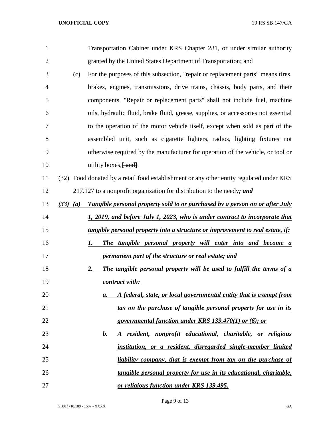| $\mathbf{1}$   |              | Transportation Cabinet under KRS Chapter 281, or under similar authority                 |
|----------------|--------------|------------------------------------------------------------------------------------------|
| $\overline{2}$ |              | granted by the United States Department of Transportation; and                           |
| 3              | (c)          | For the purposes of this subsection, "repair or replacement parts" means tires,          |
| 4              |              | brakes, engines, transmissions, drive trains, chassis, body parts, and their             |
| 5              |              | components. "Repair or replacement parts" shall not include fuel, machine                |
| 6              |              | oils, hydraulic fluid, brake fluid, grease, supplies, or accessories not essential       |
| 7              |              | to the operation of the motor vehicle itself, except when sold as part of the            |
| 8              |              | assembled unit, such as cigarette lighters, radios, lighting fixtures not                |
| 9              |              | otherwise required by the manufacturer for operation of the vehicle, or tool or          |
| 10             |              | utility boxes; $\frac{1}{2}$ and $\frac{1}{2}$                                           |
| 11             |              | (32) Food donated by a retail food establishment or any other entity regulated under KRS |
| 12             |              | 217.127 to a nonprofit organization for distribution to the needy; and                   |
| 13             | $(33)$ $(a)$ | Tangible personal property sold to or purchased by a person on or after July             |
| 14             |              | 1, 2019, and before July 1, 2023, who is under contract to incorporate that              |
| 15             |              | tangible personal property into a structure or improvement to real estate, if:           |
| 16             |              | The tangible personal property will enter into and become a<br>1.                        |
| 17             |              | permanent part of the structure or real estate; and                                      |
| 18             |              | <u>2.</u><br>The tangible personal property will be used to fulfill the terms of a       |
| 19             |              | contract with:                                                                           |
| 20             |              | A federal, state, or local governmental entity that is exempt from<br>a.                 |
| 21             |              | tax on the purchase of tangible personal property for use in its                         |
| 22             |              | <u>governmental function under KRS 139.470(1) or (6); or</u>                             |
| 23             |              | A resident, nonprofit educational, charitable, or religious<br>b.                        |
| 24             |              | institution, or a resident, disregarded single-member limited                            |
| 25             |              | <u>liability company, that is exempt from tax on the purchase of</u>                     |
| 26             |              | <u>tangible personal property for use in its educational, charitable,</u>                |
| 27             |              | or religious function under KRS 139.495.                                                 |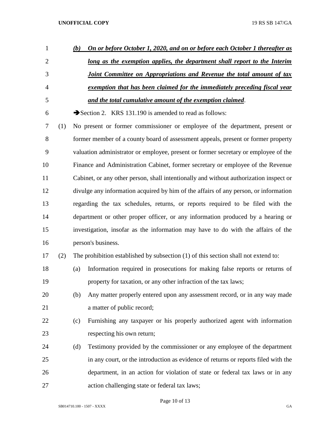| $\mathbf{1}$   |     | (b) | On or before October 1, 2020, and on or before each October 1 thereafter as            |
|----------------|-----|-----|----------------------------------------------------------------------------------------|
| $\overline{2}$ |     |     | long as the exemption applies, the department shall report to the Interim              |
| 3              |     |     | <b>Joint Committee on Appropriations and Revenue the total amount of tax</b>           |
| 4              |     |     | exemption that has been claimed for the immediately preceding fiscal year              |
| 5              |     |     | and the total cumulative amount of the exemption claimed.                              |
| 6              |     |     | Section 2. KRS 131.190 is amended to read as follows:                                  |
| 7              | (1) |     | No present or former commissioner or employee of the department, present or            |
| 8              |     |     | former member of a county board of assessment appeals, present or former property      |
| 9              |     |     | valuation administrator or employee, present or former secretary or employee of the    |
| 10             |     |     | Finance and Administration Cabinet, former secretary or employee of the Revenue        |
| 11             |     |     | Cabinet, or any other person, shall intentionally and without authorization inspect or |
| 12             |     |     | divulge any information acquired by him of the affairs of any person, or information   |
| 13             |     |     | regarding the tax schedules, returns, or reports required to be filed with the         |
| 14             |     |     | department or other proper officer, or any information produced by a hearing or        |
| 15             |     |     | investigation, insofar as the information may have to do with the affairs of the       |
| 16             |     |     | person's business.                                                                     |
| 17             | (2) |     | The prohibition established by subsection (1) of this section shall not extend to:     |
| 18             |     | (a) | Information required in prosecutions for making false reports or returns of            |
| 19             |     |     | property for taxation, or any other infraction of the tax laws;                        |
| 20             |     | (b) | Any matter properly entered upon any assessment record, or in any way made             |
| 21             |     |     | a matter of public record;                                                             |
| 22             |     | (c) | Furnishing any taxpayer or his properly authorized agent with information              |
| 23             |     |     | respecting his own return;                                                             |
| 24             |     | (d) | Testimony provided by the commissioner or any employee of the department               |
| 25             |     |     | in any court, or the introduction as evidence of returns or reports filed with the     |
| 26             |     |     | department, in an action for violation of state or federal tax laws or in any          |
| 27             |     |     | action challenging state or federal tax laws;                                          |

Page 10 of 13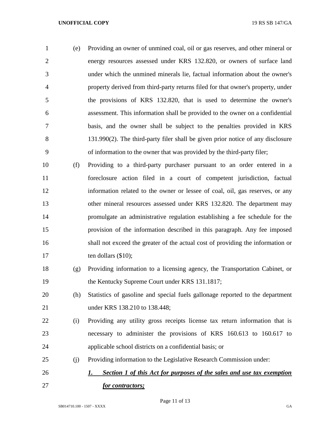(e) Providing an owner of unmined coal, oil or gas reserves, and other mineral or energy resources assessed under KRS 132.820, or owners of surface land under which the unmined minerals lie, factual information about the owner's property derived from third-party returns filed for that owner's property, under the provisions of KRS 132.820, that is used to determine the owner's assessment. This information shall be provided to the owner on a confidential basis, and the owner shall be subject to the penalties provided in KRS 131.990(2). The third-party filer shall be given prior notice of any disclosure of information to the owner that was provided by the third-party filer;

- (f) Providing to a third-party purchaser pursuant to an order entered in a foreclosure action filed in a court of competent jurisdiction, factual information related to the owner or lessee of coal, oil, gas reserves, or any other mineral resources assessed under KRS 132.820. The department may promulgate an administrative regulation establishing a fee schedule for the provision of the information described in this paragraph. Any fee imposed shall not exceed the greater of the actual cost of providing the information or 17 ten dollars (\$10);
- (g) Providing information to a licensing agency, the Transportation Cabinet, or 19 the Kentucky Supreme Court under KRS 131.1817;
- (h) Statistics of gasoline and special fuels gallonage reported to the department under KRS 138.210 to 138.448;
- (i) Providing any utility gross receipts license tax return information that is necessary to administer the provisions of KRS 160.613 to 160.617 to applicable school districts on a confidential basis; or
- (j) Providing information to the Legislative Research Commission under:
- *1. Section 1 of this Act for purposes of the sales and use tax exemption for contractors;*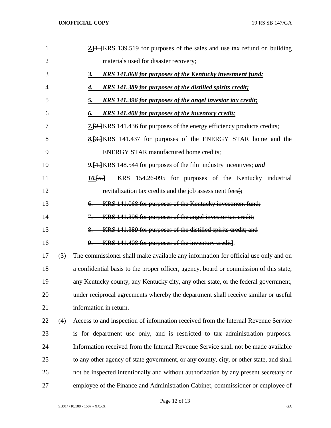| $\mathbf{1}$   |     | 2. [1.] KRS 139.519 for purposes of the sales and use tax refund on building            |
|----------------|-----|-----------------------------------------------------------------------------------------|
| $\overline{2}$ |     | materials used for disaster recovery;                                                   |
| 3              |     | <b>KRS</b> 141.068 for purposes of the Kentucky investment fund;<br>3.                  |
| 4              |     | KRS 141.389 for purposes of the distilled spirits credit;<br>4.                         |
| 5              |     | KRS 141.396 for purposes of the angel investor tax credit;<br>5.                        |
| 6              |     | <b>KRS</b> 141.408 for purposes of the inventory credit;<br>6.                          |
| 7              |     | <b>7.</b> [2.] KRS 141.436 for purposes of the energy efficiency products credits;      |
| 8              |     | 8. [3.] KRS 141.437 for purposes of the ENERGY STAR home and the                        |
| 9              |     | <b>ENERGY STAR manufactured home credits;</b>                                           |
| 10             |     | 9. [4.] KRS 148.544 for purposes of the film industry incentives; and                   |
| 11             |     | KRS 154.26-095 for purposes of the Kentucky industrial<br>$10.5 \div$                   |
| 12             |     | revitalization tax credits and the job assessment fees[;                                |
| 13             |     | KRS 141.068 for purposes of the Kentucky investment fund;<br>6.                         |
| 14             |     | KRS 141.396 for purposes of the angel investor tax credit;<br>7.                        |
| 15             |     | KRS 141.389 for purposes of the distilled spirits credit; and<br>8.                     |
| 16             |     | 9. KRS 141.408 for purposes of the inventory credit].                                   |
| 17             | (3) | The commissioner shall make available any information for official use only and on      |
| 18             |     | a confidential basis to the proper officer, agency, board or commission of this state,  |
| 19             |     | any Kentucky county, any Kentucky city, any other state, or the federal government,     |
| 20             |     | under reciprocal agreements whereby the department shall receive similar or useful      |
| 21             |     | information in return.                                                                  |
| 22             | (4) | Access to and inspection of information received from the Internal Revenue Service      |
| 23             |     | is for department use only, and is restricted to tax administration purposes.           |
| 24             |     | Information received from the Internal Revenue Service shall not be made available      |
| 25             |     | to any other agency of state government, or any county, city, or other state, and shall |
| 26             |     | not be inspected intentionally and without authorization by any present secretary or    |
| 27             |     | employee of the Finance and Administration Cabinet, commissioner or employee of         |

Page 12 of 13